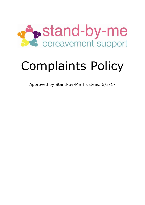

# Complaints Policy

Approved by Stand-by-Me Trustees: 5/5/17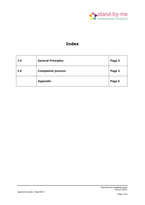

## **Index**

| 1.0 | <b>General Principles</b> | Page 3 |
|-----|---------------------------|--------|
| 2.0 | <b>Complaints process</b> | Page 3 |
|     | <b>Appendix</b>           | Page 5 |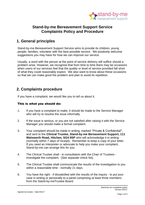

### **Stand-by-me Bereavement Support Service Complaints Policy and Procedure**

## **1. General principles**

Stand-by-me Bereavement Support Service aims to provide its children, young people, families, volunteer with the best possible service. We positively welcome suggestions you may have for how we can improve our service.

Usually, a word with the person at the point of service delivery will suffice should a problem arise. However, we recognise that from time to time there may be occasions when users of our services feel that the quality or level of service provided fall short of what they could reasonably expect. We also want to know about these occasions so that we can make good the problem and plan to avoid its repetition.

#### **2. Complaints procedure**

If you have a complaint, we would like you to tell us about it.

#### This is what you should do:

- 1. If you have a complaint to make, it should be made to the Service Manager who will try to resolve the issue informally.
- 2. If the issue is serious, or you are not satisfied after raising it with the Service Manager you should make a formal complaint.
- 3. Your complaint should be made in writing, marked "Private & Confidential", and sent to the **Clinical Trustee, Stand-by-me Bereavement Support, 111 Walsworth Road, Hitchen, SG4 9SP** who will acknowledge it in writing (normally within 7 days of receipt). Remember to keep a copy of your letter. If you need an interpreter or advocate to help you make your complaint, Stand-by-me can arrange this for you.
- 4. The Clinical Trustee shall in consultation with the Chair of Trustees investigate the complaint. (See separate check list).
- 5. The Clinical Trustee shall communicate the results of the investigation to you within a reasonable time - normally 21 days.
- 6. You have the right if dissatisfied with the results of the inquiry to put your case in writing or personally to a panel comprising at least three members from the Stand-by-meTrustee Board.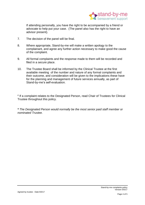

If attending personally, you have the right to be accompanied by a friend or advocate to help put your case. (The panel also has the right to have an advisor present).

- 7. The decision of the panel will be final.
- 8. Where appropriate, Stand-by-me will make a written apology to the complainant, and agree any further action necessary to make good the cause of the complaint.
- 9. All formal complaints and the response made to them will be recorded and filed in a secure place.
- 10. The Trustee Board shall be informed by the Clinical Trustee at the first available meeting of the number and nature of any formal complaints and their outcome, and consideration will be given to the implications these have for the planning and management of future services annually, as part of Stand-by-me's self-evaluation.

# If a complaint relates to the Designated Person, read Chair of Trustees for Clinical Trustee throughout this policy.

*\* The Designated Person would normally be the most senior paid staff member or nominated Trustee.*